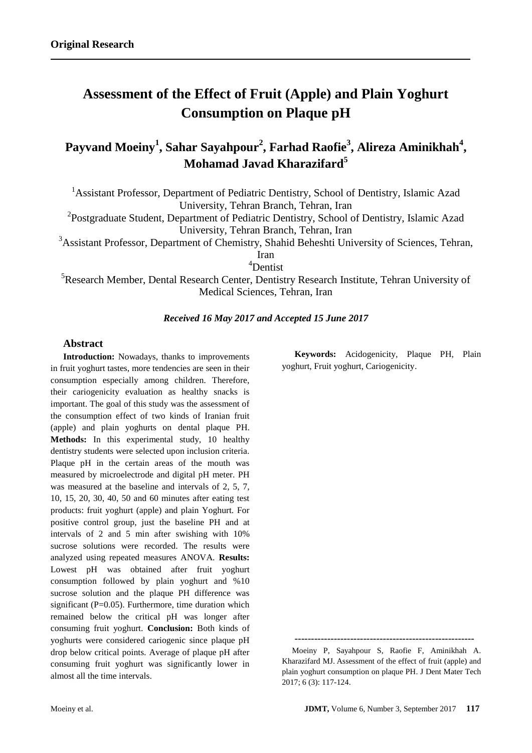# **Assessment of the Effect of Fruit (Apple) and Plain Yoghurt Consumption on Plaque pH**

# **Payvand Moeiny<sup>1</sup> , Sahar Sayahpour<sup>2</sup> , Farhad Raofie<sup>3</sup> , Alireza Aminikhah<sup>4</sup> , Mohamad Javad Kharazifard<sup>5</sup>**

<sup>1</sup> Assistant Professor, Department of Pediatric Dentistry, School of Dentistry, Islamic Azad University, Tehran Branch, Tehran, Iran

<sup>2</sup>Postgraduate Student, Department of Pediatric Dentistry, School of Dentistry, Islamic Azad University, Tehran Branch, Tehran, Iran

<sup>3</sup>Assistant Professor, Department of Chemistry, Shahid Beheshti University of Sciences, Tehran,

Iran <sup>4</sup>Dentist

<sup>5</sup>Research Member, Dental Research Center, Dentistry Research Institute, Tehran University of Medical Sciences, Tehran, Iran

# *Received 16 May 2017 and Accepted 15 June 2017*

# **Abstract**

**Introduction:** Nowadays, thanks to improvements in fruit yoghurt tastes, more tendencies are seen in their consumption especially among children. Therefore, their cariogenicity evaluation as healthy snacks is important. The goal of this study was the assessment of the consumption effect of two kinds of Iranian fruit (apple) and plain yoghurts on dental plaque PH. **Methods:** In this experimental study, 10 healthy dentistry students were selected upon inclusion criteria. Plaque pH in the certain areas of the mouth was measured by microelectrode and digital pH meter. PH was measured at the baseline and intervals of 2, 5, 7, 10, 15, 20, 30, 40, 50 and 60 minutes after eating test products: fruit yoghurt (apple) and plain Yoghurt. For positive control group, just the baseline PH and at intervals of 2 and 5 min after swishing with 10% sucrose solutions were recorded. The results were analyzed using repeated measures ANOVA. **Results:** Lowest pH was obtained after fruit yoghurt consumption followed by plain yoghurt and %10 sucrose solution and the plaque PH difference was significant (P=0.05). Furthermore, time duration which remained below the critical pH was longer after consuming fruit yoghurt. **Conclusion:** Both kinds of yoghurts were considered cariogenic since plaque pH drop below critical points. Average of plaque pH after consuming fruit yoghurt was significantly lower in almost all the time intervals.

**Keywords:** Acidogenicity, Plaque PH, Plain yoghurt, Fruit yoghurt, Cariogenicity.

**-------------------------------------------------------**

Moeiny P, Sayahpour S, Raofie F, Aminikhah A. Kharazifard MJ. Assessment of the effect of fruit (apple) and plain yoghurt consumption on plaque PH. J Dent Mater Tech 2017; 6 (3): 117-124.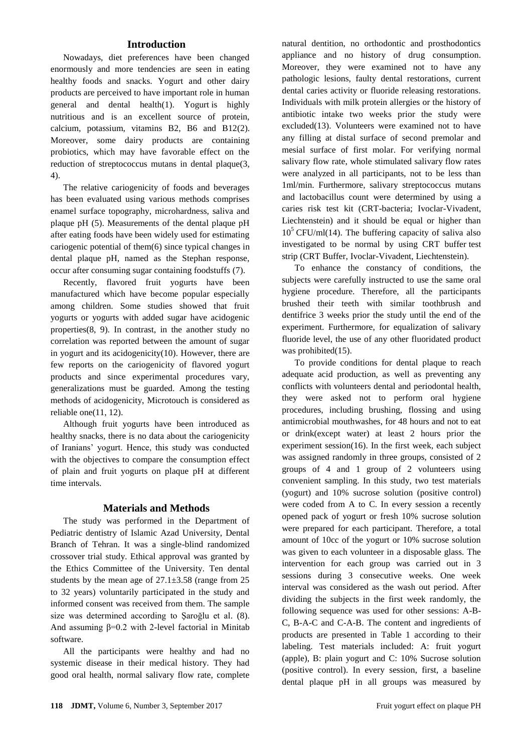#### **Introduction**

Nowadays, diet preferences have been changed enormously and more tendencies are seen in eating healthy foods and snacks. Yogurt and other dairy products are perceived to have important role in human general and dental health(1). Yogurt is highly nutritious and is an excellent source of protein, calcium, potassium, vitamins B2, B6 and B12(2). Moreover, some dairy products are containing probiotics, which may have favorable effect on the reduction of streptococcus mutans in dental plaque(3, 4).

The relative cariogenicity of foods and beverages has been evaluated using various methods comprises enamel surface topography, microhardness, saliva and plaque pH (5). Measurements of the dental plaque pH after eating foods have been widely used for estimating cariogenic potential of them(6) since typical changes in dental plaque pH, named as the Stephan response, occur after consuming sugar containing foodstuffs (7).

Recently, flavored fruit yogurts have been manufactured which have become popular especially among children. Some studies showed that fruit yogurts or yogurts with added sugar have acidogenic properties(8, 9). In contrast, in the another study no correlation was reported between the amount of sugar in yogurt and its acidogenicity(10). However, there are few reports on the cariogenicity of flavored yogurt products and since experimental procedures vary, generalizations must be guarded. Among the testing methods of acidogenicity, Microtouch is considered as reliable one(11, 12).

Although fruit yogurts have been introduced as healthy snacks, there is no data about the cariogenicity of Iranians' yogurt. Hence, this study was conducted with the objectives to compare the consumption effect of plain and fruit yogurts on plaque pH at different time intervals.

#### **Materials and Methods**

The study was performed in the Department of Pediatric dentistry of Islamic Azad University, Dental Branch of Tehran. It was a single-blind randomized crossover trial study. Ethical approval was granted by the Ethics Committee of the University. Ten dental students by the mean age of 27.1±3.58 (range from 25 to 32 years) voluntarily participated in the study and informed consent was received from them. The sample size was determined according to Şaroğlu et al. (8). And assuming  $\beta=0.2$  with 2-level factorial in Minitab software.

All the participants were healthy and had no systemic disease in their medical history. They had good oral health, normal salivary flow rate, complete

natural dentition, no orthodontic and prosthodontics appliance and no history of drug consumption. Moreover, they were examined not to have any pathologic lesions, faulty dental restorations, current dental caries activity or fluoride releasing restorations. Individuals with milk protein allergies or the history of antibiotic intake two weeks prior the study were excluded(13). Volunteers were examined not to have any filling at distal surface of second premolar and mesial surface of first molar. For verifying normal salivary flow rate, whole stimulated salivary flow rates were analyzed in all participants, not to be less than 1ml/min. Furthermore, salivary streptococcus mutans and lactobacillus count were determined by using a caries risk test kit (CRT-bacteria; Ivoclar-Vivadent, Liechtenstein) and it should be equal or higher than  $10<sup>5</sup> CFU/ml(14)$ . The buffering capacity of saliva also investigated to be normal by using CRT buffer test strip (CRT Buffer, Ivoclar-Vivadent, Liechtenstein).

To enhance the constancy of conditions, the subjects were carefully instructed to use the same oral hygiene procedure. Therefore, all the participants brushed their teeth with similar toothbrush and dentifrice 3 weeks prior the study until the end of the experiment. Furthermore, for equalization of salivary fluoride level, the use of any other fluoridated product was prohibited(15).

To provide conditions for dental plaque to reach adequate acid production, as well as preventing any conflicts with volunteers dental and periodontal health, they were asked not to perform oral hygiene procedures, including brushing, flossing and using antimicrobial mouthwashes, for 48 hours and not to eat or drink(except water) at least 2 hours prior the experiment session(16). In the first week, each subject was assigned randomly in three groups, consisted of 2 groups of 4 and 1 group of 2 volunteers using convenient sampling. In this study, two test materials (yogurt) and 10% sucrose solution (positive control) were coded from A to C. In every session a recently opened pack of yogurt or fresh 10% sucrose solution were prepared for each participant. Therefore, a total amount of 10cc of the yogurt or 10% sucrose solution was given to each volunteer in a disposable glass. The intervention for each group was carried out in 3 sessions during 3 consecutive weeks. One week interval was considered as the wash out period. After dividing the subjects in the first week randomly, the following sequence was used for other sessions: A-B-C, B-A-C and C-A-B. The content and ingredients of products are presented in Table 1 according to their labeling. Test materials included: A: fruit yogurt (apple), B: plain yogurt and C: 10% Sucrose solution (positive control). In every session, first, a baseline dental plaque pH in all groups was measured by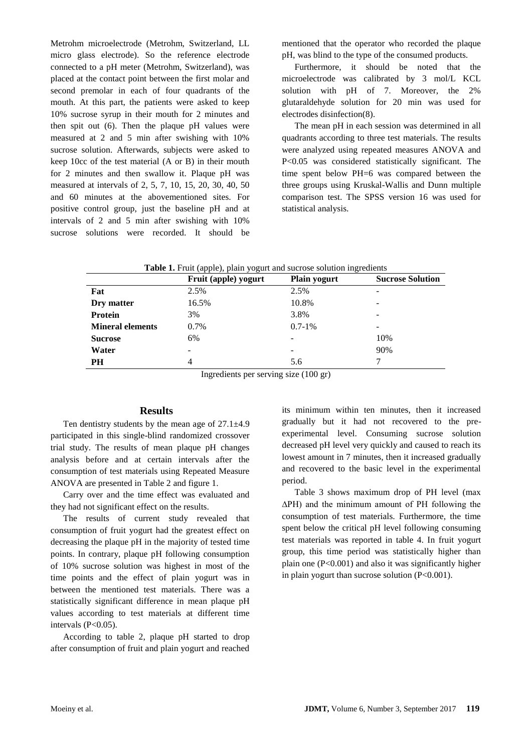Metrohm microelectrode (Metrohm, Switzerland, LL micro glass electrode). So the reference electrode connected to a pH meter (Metrohm, Switzerland), was placed at the contact point between the first molar and second premolar in each of four quadrants of the mouth. At this part, the patients were asked to keep 10% sucrose syrup in their mouth for 2 minutes and then spit out (6). Then the plaque pH values were measured at 2 and 5 min after swishing with 10% sucrose solution. Afterwards, subjects were asked to keep 10cc of the test material (A or B) in their mouth for 2 minutes and then swallow it. Plaque pH was measured at intervals of 2, 5, 7, 10, 15, 20, 30, 40, 50 and 60 minutes at the abovementioned sites. For positive control group, just the baseline pH and at intervals of 2 and 5 min after swishing with 10% sucrose solutions were recorded. It should be

mentioned that the operator who recorded the plaque pH, was blind to the type of the consumed products.

Furthermore, it should be noted that the microelectrode was calibrated by 3 mol/L KCL solution with pH of 7. Moreover, the 2% glutaraldehyde solution for 20 min was used for electrodes disinfection(8).

The mean pH in each session was determined in all quadrants according to three test materials. The results were analyzed using repeated measures ANOVA and P<0.05 was considered statistically significant. The time spent below PH=6 was compared between the three groups using Kruskal-Wallis and Dunn multiple comparison test. The SPSS version 16 was used for statistical analysis.

|  | Table 1. Fruit (apple), plain yogurt and sucrose solution ingredients |  |
|--|-----------------------------------------------------------------------|--|
|--|-----------------------------------------------------------------------|--|

|                         | Fruit (apple) yogurt | <b>Plain yogurt</b> | <b>Sucrose Solution</b> |
|-------------------------|----------------------|---------------------|-------------------------|
| Fat                     | 2.5%                 | 2.5%                | -                       |
| Dry matter              | 16.5%                | 10.8%               | -                       |
| Protein                 | 3%                   | 3.8%                | -                       |
| <b>Mineral elements</b> | 0.7%                 | $0.7 - 1\%$         | -                       |
| <b>Sucrose</b>          | 6%                   | $\overline{a}$      | 10%                     |
| Water                   |                      | $\overline{a}$      | 90%                     |
| PH                      | 4                    | 5.6                 |                         |

Ingredients per serving size (100 gr)

#### **Results**

Ten dentistry students by the mean age of  $27.1 \pm 4.9$ participated in this single-blind randomized crossover trial study. The results of mean plaque pH changes analysis before and at certain intervals after the consumption of test materials using Repeated Measure ANOVA are presented in Table 2 and figure 1.

Carry over and the time effect was evaluated and they had not significant effect on the results.

The results of current study revealed that consumption of fruit yogurt had the greatest effect on decreasing the plaque pH in the majority of tested time points. In contrary, plaque pH following consumption of 10% sucrose solution was highest in most of the time points and the effect of plain yogurt was in between the mentioned test materials. There was a statistically significant difference in mean plaque pH values according to test materials at different time intervals  $(P<0.05)$ .

According to table 2, plaque pH started to drop after consumption of fruit and plain yogurt and reached

its minimum within ten minutes, then it increased gradually but it had not recovered to the preexperimental level. Consuming sucrose solution decreased pH level very quickly and caused to reach its lowest amount in 7 minutes, then it increased gradually and recovered to the basic level in the experimental period.

Table 3 shows maximum drop of PH level (max ∆PH) and the minimum amount of PH following the consumption of test materials. Furthermore, the time spent below the critical pH level following consuming test materials was reported in table 4. In fruit yogurt group, this time period was statistically higher than plain one  $(P<0.001)$  and also it was significantly higher in plain yogurt than sucrose solution (P<0.001).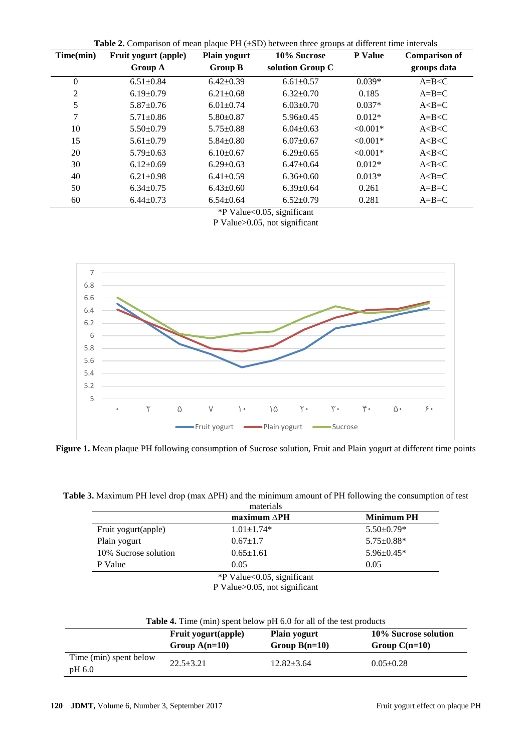| Time(min)      | Fruit yogurt (apple) | <b>Plain yogurt</b> | 10% Sucrose      | P Value    | <b>Comparison of</b> |
|----------------|----------------------|---------------------|------------------|------------|----------------------|
|                | Group A              | <b>Group B</b>      | solution Group C |            | groups data          |
| $\theta$       | $6.51 \pm 0.84$      | $6.42 \pm 0.39$     | $6.61 \pm 0.57$  | $0.039*$   | $A=B < C$            |
| $\overline{2}$ | $6.19 \pm 0.79$      | $6.21 \pm 0.68$     | $6.32 \pm 0.70$  | 0.185      | $A=B=C$              |
| 5              | $5.87 \pm 0.76$      | $6.01 \pm 0.74$     | $6.03 \pm 0.70$  | $0.037*$   | $A < B = C$          |
| $\overline{7}$ | $5.71 \pm 0.86$      | $5.80 \pm 0.87$     | $5.96 \pm 0.45$  | $0.012*$   | $A=B < C$            |
| 10             | $5.50+0.79$          | $5.75 \pm 0.88$     | $6.04+0.63$      | $< 0.001*$ | A < B < C            |
| 15             | $5.61 \pm 0.79$      | $5.84 \pm 0.80$     | $6.07+0.67$      | $< 0.001*$ | A < B < C            |
| 20             | $5.79 \pm 0.63$      | $6.10\pm0.67$       | $6.29 \pm 0.65$  | $< 0.001*$ | A < B < C            |
| 30             | $6.12+0.69$          | $6.29+0.63$         | $6.47+0.64$      | $0.012*$   | A < B < C            |
| 40             | $6.21 \pm 0.98$      | $6.41 \pm 0.59$     | $6.36 \pm 0.60$  | $0.013*$   | $A < B = C$          |
| 50             | $6.34 \pm 0.75$      | $6.43 \pm 0.60$     | $6.39 \pm 0.64$  | 0.261      | $A=B=C$              |
| 60             | $6.44 \pm 0.73$      | $6.54 \pm 0.64$     | $6.52 \pm 0.79$  | 0.281      | $A=B=C$              |

**Table 2.** Comparison of mean plaque PH ( $+SD$ ) between three groups at different time intervals

\*P Value<0.05, significant

P Value>0.05, not significant



**Figure 1.** Mean plaque PH following consumption of Sucrose solution, Fruit and Plain yogurt at different time points

**Table 3.** Maximum PH level drop (max ∆PH) and the minimum amount of PH following the consumption of test

|                      | $maximum \Delta PH$ | <b>Minimum PH</b> |
|----------------------|---------------------|-------------------|
| Fruit yogurt(apple)  | $1.01 \pm 1.74*$    | $5.50 \pm 0.79*$  |
| Plain yogurt         | $0.67 \pm 1.7$      | $5.75 \pm 0.88*$  |
| 10% Sucrose solution | $0.65 \pm 1.61$     | $5.96 \pm 0.45*$  |
| P Value              | 0.05                | 0.05              |

P Value>0.05, not significant

| <b>Table 4.</b> Time (min) spent below pH 6.0 for all of the test products |                                                |                                        |                                         |
|----------------------------------------------------------------------------|------------------------------------------------|----------------------------------------|-----------------------------------------|
|                                                                            | <b>Fruit yogurt</b> (apple)<br>Group $A(n=10)$ | <b>Plain yogurt</b><br>Group $B(n=10)$ | 10% Sucrose solution<br>Group $C(n=10)$ |
| Time (min) spent below<br>pH 6.0                                           | $22.5 + 3.21$                                  | $12.82 + 3.64$                         | $0.05 \pm 0.28$                         |
|                                                                            |                                                |                                        |                                         |

| Table 4. Time (min) spent below pH 6.0 for all of the test products |  |
|---------------------------------------------------------------------|--|
|---------------------------------------------------------------------|--|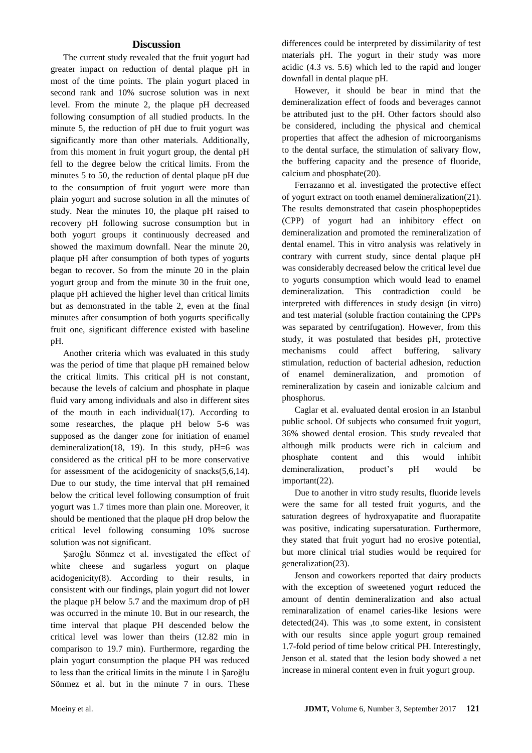#### **Discussion**

The current study revealed that the fruit yogurt had greater impact on reduction of dental plaque pH in most of the time points. The plain yogurt placed in second rank and 10% sucrose solution was in next level. From the minute 2, the plaque pH decreased following consumption of all studied products. In the minute 5, the reduction of pH due to fruit yogurt was significantly more than other materials. Additionally, from this moment in fruit yogurt group, the dental pH fell to the degree below the critical limits. From the minutes 5 to 50, the reduction of dental plaque pH due to the consumption of fruit yogurt were more than plain yogurt and sucrose solution in all the minutes of study. Near the minutes 10, the plaque pH raised to recovery pH following sucrose consumption but in both yogurt groups it continuously decreased and showed the maximum downfall. Near the minute 20, plaque pH after consumption of both types of yogurts began to recover. So from the minute 20 in the plain yogurt group and from the minute 30 in the fruit one, plaque pH achieved the higher level than critical limits but as demonstrated in the table 2, even at the final minutes after consumption of both yogurts specifically fruit one, significant difference existed with baseline pH.

Another criteria which was evaluated in this study was the period of time that plaque pH remained below the critical limits. This critical pH is not constant, because the levels of calcium and phosphate in plaque fluid vary among individuals and also in different sites of the mouth in each individual(17). According to some researches, the plaque pH below 5-6 was supposed as the danger zone for initiation of enamel demineralization(18, 19). In this study, pH=6 was considered as the critical pH to be more conservative for assessment of the acidogenicity of snacks(5,6,14). Due to our study, the time interval that pH remained below the critical level following consumption of fruit yogurt was 1.7 times more than plain one. Moreover, it should be mentioned that the plaque pH drop below the critical level following consuming 10% sucrose solution was not significant.

Şaroğlu Sönmez et al. investigated the effect of white cheese and sugarless yogurt on plaque acidogenicity(8). According to their results, in consistent with our findings, plain yogurt did not lower the plaque pH below 5.7 and the maximum drop of pH was occurred in the minute 10. But in our research, the time interval that plaque PH descended below the critical level was lower than theirs (12.82 min in comparison to 19.7 min). Furthermore, regarding the plain yogurt consumption the plaque PH was reduced to less than the critical limits in the minute 1 in Şaroğlu Sönmez et al. but in the minute 7 in ours. These

differences could be interpreted by dissimilarity of test materials pH. The yogurt in their study was more acidic (4.3 vs. 5.6) which led to the rapid and longer downfall in dental plaque pH.

However, it should be bear in mind that the demineralization effect of foods and beverages cannot be attributed just to the pH. Other factors should also be considered, including the physical and chemical properties that affect the adhesion of microorganisms to the dental surface, the stimulation of salivary flow, the buffering capacity and the presence of fluoride, calcium and phosphate(20).

Ferrazanno et al. investigated the protective effect of yogurt extract on tooth enamel demineralization(21). The results demonstrated that casein phosphopeptides (CPP) of yogurt had an inhibitory effect on demineralization and promoted the remineralization of dental enamel. This in vitro analysis was relatively in contrary with current study, since dental plaque pH was considerably decreased below the critical level due to yogurts consumption which would lead to enamel demineralization. This contradiction could be interpreted with differences in study design (in vitro) and test material (soluble fraction containing the CPPs was separated by centrifugation). However, from this study, it was postulated that besides pH, protective mechanisms could affect buffering, salivary stimulation, reduction of bacterial adhesion, reduction of enamel demineralization, and promotion of remineralization by casein and ionizable calcium and phosphorus.

Caglar et al. evaluated dental erosion in an Istanbul public school. Of subjects who consumed fruit yogurt, 36% showed dental erosion. This study revealed that although milk products were rich in calcium and phosphate content and this would inhibit demineralization, product's pH would be important(22).

Due to another in vitro study results, fluoride levels were the same for all tested fruit yogurts, and the saturation degrees of hydroxyapatite and fluorapatite was positive, indicating supersaturation. Furthermore, they stated that fruit yogurt had no erosive potential, but more clinical trial studies would be required for generalization(23).

Jenson and coworkers reported that dairy products with the exception of sweetened yogurt reduced the amount of dentin demineralization and also actual reminaralization of enamel caries-like lesions were detected(24). This was ,to some extent, in consistent with our results since apple yogurt group remained 1.7-fold period of time below critical PH. Interestingly, Jenson et al. stated that the lesion body showed a net increase in mineral content even in fruit yogurt group.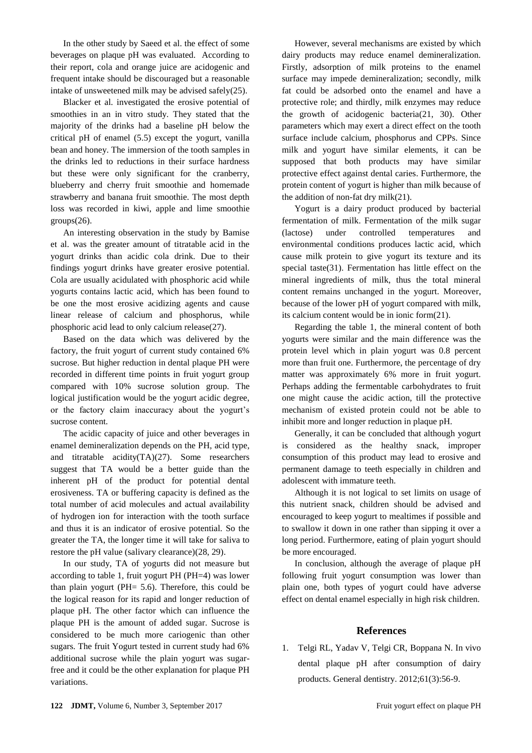In the other study by Saeed et al. the effect of some beverages on plaque pH was evaluated. According to their report, cola and orange juice are acidogenic and frequent intake should be discouraged but a reasonable intake of unsweetened milk may be advised safely(25).

Blacker et al. investigated the erosive potential of smoothies in an in vitro study. They stated that the majority of the drinks had a baseline pH below the critical pH of enamel (5.5) except the yogurt, vanilla bean and honey. The immersion of the tooth samples in the drinks led to reductions in their surface hardness but these were only significant for the cranberry, blueberry and cherry fruit smoothie and homemade strawberry and banana fruit smoothie. The most depth loss was recorded in kiwi, apple and lime smoothie groups(26).

An interesting observation in the study by Bamise et al. was the greater amount of titratable acid in the yogurt drinks than acidic cola drink. Due to their findings yogurt drinks have greater erosive potential. Cola are usually acidulated with phosphoric acid while yogurts contains lactic acid, which has been found to be one the most erosive acidizing agents and cause linear release of calcium and phosphorus, while phosphoric acid lead to only calcium release(27).

Based on the data which was delivered by the factory, the fruit yogurt of current study contained 6% sucrose. But higher reduction in dental plaque PH were recorded in different time points in fruit yogurt group compared with 10% sucrose solution group. The logical justification would be the yogurt acidic degree, or the factory claim inaccuracy about the yogurt's sucrose content.

The acidic capacity of juice and other beverages in enamel demineralization depends on the PH, acid type, and titratable acidity(TA)(27). Some researchers suggest that TA would be a better guide than the inherent pH of the product for potential dental erosiveness. TA or buffering capacity is defined as the total number of acid molecules and actual availability of hydrogen ion for interaction with the tooth surface and thus it is an indicator of erosive potential. So the greater the TA, the longer time it will take for saliva to restore the pH value (salivary clearance)(28, 29).

In our study, TA of yogurts did not measure but according to table 1, fruit yogurt PH (PH=4) was lower than plain yogurt (PH= 5.6). Therefore, this could be the logical reason for its rapid and longer reduction of plaque pH. The other factor which can influence the plaque PH is the amount of added sugar. Sucrose is considered to be much more cariogenic than other sugars. The fruit Yogurt tested in current study had 6% additional sucrose while the plain yogurt was sugarfree and it could be the other explanation for plaque PH variations.

However, several mechanisms are existed by which dairy products may reduce enamel demineralization. Firstly, adsorption of milk proteins to the enamel surface may impede demineralization; secondly, milk fat could be adsorbed onto the enamel and have a protective role; and thirdly, milk enzymes may reduce the growth of acidogenic bacteria(21, 30). Other parameters which may exert a direct effect on the tooth surface include calcium, phosphorus and CPPs. Since milk and yogurt have similar elements, it can be supposed that both products may have similar protective effect against dental caries. Furthermore, the protein content of yogurt is higher than milk because of the addition of non-fat dry milk(21).

Yogurt is a dairy product produced by bacterial fermentation of milk. Fermentation of the milk sugar (lactose) under controlled temperatures and environmental conditions produces lactic acid, which cause milk protein to give yogurt its texture and its special taste(31). Fermentation has little effect on the mineral ingredients of milk, thus the total mineral content remains unchanged in the yogurt. Moreover, because of the lower pH of yogurt compared with milk, its calcium content would be in ionic form(21).

Regarding the table 1, the mineral content of both yogurts were similar and the main difference was the protein level which in plain yogurt was 0.8 percent more than fruit one. Furthermore, the percentage of dry matter was approximately 6% more in fruit yogurt. Perhaps adding the fermentable carbohydrates to fruit one might cause the acidic action, till the protective mechanism of existed protein could not be able to inhibit more and longer reduction in plaque pH.

Generally, it can be concluded that although yogurt is considered as the healthy snack, improper consumption of this product may lead to erosive and permanent damage to teeth especially in children and adolescent with immature teeth.

Although it is not logical to set limits on usage of this nutrient snack, children should be advised and encouraged to keep yogurt to mealtimes if possible and to swallow it down in one rather than sipping it over a long period. Furthermore, eating of plain yogurt should be more encouraged.

In conclusion, although the average of plaque pH following fruit yogurt consumption was lower than plain one, both types of yogurt could have adverse effect on dental enamel especially in high risk children.

### **References**

1. Telgi RL, Yadav V, Telgi CR, Boppana N. In vivo dental plaque pH after consumption of dairy products. General dentistry. 2012;61(3):56-9.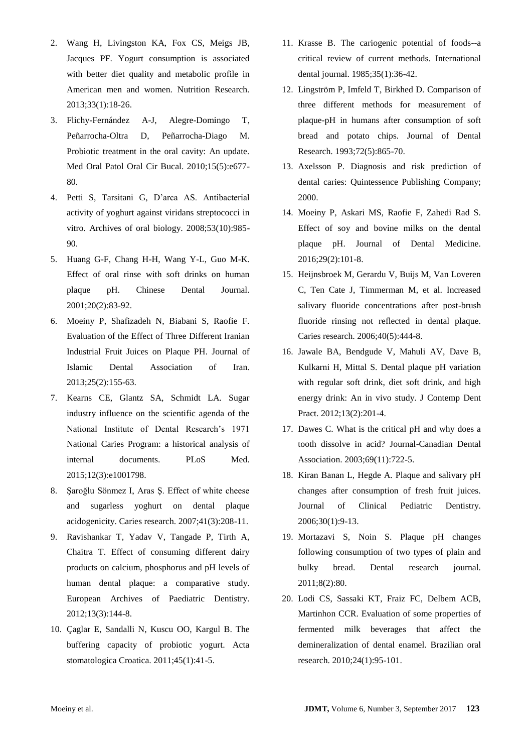- 2. Wang H, Livingston KA, Fox CS, Meigs JB, Jacques PF. Yogurt consumption is associated with better diet quality and metabolic profile in American men and women. Nutrition Research. 2013;33(1):18-26.
- 3. Flichy-Fernández A-J, Alegre-Domingo T, Peñarrocha-Oltra D, Peñarrocha-Diago M. Probiotic treatment in the oral cavity: An update. Med Oral Patol Oral Cir Bucal. 2010;15(5):e677- 80.
- 4. Petti S, Tarsitani G, D'arca AS. Antibacterial activity of yoghurt against viridans streptococci in vitro. Archives of oral biology. 2008;53(10):985- 90.
- 5. Huang G-F, Chang H-H, Wang Y-L, Guo M-K. Effect of oral rinse with soft drinks on human plaque pH. Chinese Dental Journal. 2001;20(2):83-92.
- 6. Moeiny P, Shafizadeh N, Biabani S, Raofie F. Evaluation of the Effect of Three Different Iranian Industrial Fruit Juices on Plaque PH. Journal of Islamic Dental Association of Iran. 2013;25(2):155-63.
- 7. Kearns CE, Glantz SA, Schmidt LA. Sugar industry influence on the scientific agenda of the National Institute of Dental Research's 1971 National Caries Program: a historical analysis of internal documents. PLoS Med. 2015;12(3):e1001798.
- 8. Şaroğlu Sönmez I, Aras Ş. Effect of white cheese and sugarless yoghurt on dental plaque acidogenicity. Caries research. 2007;41(3):208-11.
- 9. Ravishankar T, Yadav V, Tangade P, Tirth A, Chaitra T. Effect of consuming different dairy products on calcium, phosphorus and pH levels of human dental plaque: a comparative study. European Archives of Paediatric Dentistry. 2012;13(3):144-8.
- 10. Çaglar E, Sandalli N, Kuscu OO, Kargul B. The buffering capacity of probiotic yogurt. Acta stomatologica Croatica. 2011;45(1):41-5.
- 11. Krasse B. The cariogenic potential of foods--a critical review of current methods. International dental journal. 1985;35(1):36-42.
- 12. Lingström P, Imfeld T, Birkhed D. Comparison of three different methods for measurement of plaque-pH in humans after consumption of soft bread and potato chips. Journal of Dental Research. 1993;72(5):865-70.
- 13. Axelsson P. Diagnosis and risk prediction of dental caries: Quintessence Publishing Company; 2000.
- 14. Moeiny P, Askari MS, Raofie F, Zahedi Rad S. Effect of soy and bovine milks on the dental plaque pH. Journal of Dental Medicine. 2016;29(2):101-8.
- 15. Heijnsbroek M, Gerardu V, Buijs M, Van Loveren C, Ten Cate J, Timmerman M, et al. Increased salivary fluoride concentrations after post-brush fluoride rinsing not reflected in dental plaque. Caries research. 2006;40(5):444-8.
- 16. Jawale BA, Bendgude V, Mahuli AV, Dave B, Kulkarni H, Mittal S. Dental plaque pH variation with regular soft drink, diet soft drink, and high energy drink: An in vivo study. J Contemp Dent Pract. 2012;13(2):201-4.
- 17. Dawes C. What is the critical pH and why does a tooth dissolve in acid? Journal-Canadian Dental Association. 2003;69(11):722-5.
- 18. Kiran Banan L, Hegde A. Plaque and salivary pH changes after consumption of fresh fruit juices. Journal of Clinical Pediatric Dentistry. 2006;30(1):9-13.
- 19. Mortazavi S, Noin S. Plaque pH changes following consumption of two types of plain and bulky bread. Dental research journal. 2011;8(2):80.
- 20. Lodi CS, Sassaki KT, Fraiz FC, Delbem ACB, Martinhon CCR. Evaluation of some properties of fermented milk beverages that affect the demineralization of dental enamel. Brazilian oral research. 2010;24(1):95-101.